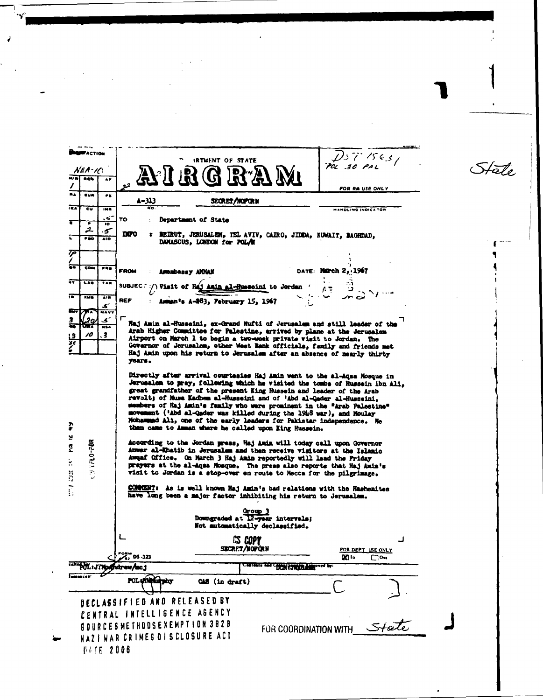| <b>WACTION</b>                                                                 |                                                                                                    |                                                                                                                                                                                                                                                                                                                                                                                                                                                                                                                                                                                            |                                    |                           | DS7563                   |  |               |
|--------------------------------------------------------------------------------|----------------------------------------------------------------------------------------------------|--------------------------------------------------------------------------------------------------------------------------------------------------------------------------------------------------------------------------------------------------------------------------------------------------------------------------------------------------------------------------------------------------------------------------------------------------------------------------------------------------------------------------------------------------------------------------------------------|------------------------------------|---------------------------|--------------------------|--|---------------|
|                                                                                |                                                                                                    | <b>IRTMENT OF STATE</b>                                                                                                                                                                                                                                                                                                                                                                                                                                                                                                                                                                    |                                    | POL 30 PAL                |                          |  | $H\bar{o}I_o$ |
| NEA-IC<br><b>REN</b><br>M/ R<br>68                                             |                                                                                                    | 163                                                                                                                                                                                                                                                                                                                                                                                                                                                                                                                                                                                        |                                    |                           |                          |  |               |
|                                                                                |                                                                                                    |                                                                                                                                                                                                                                                                                                                                                                                                                                                                                                                                                                                            |                                    |                           | FOR RM USE ONLY          |  |               |
| na.<br>EUR<br>PE.                                                              | 4-313                                                                                              | SECRET/NOPORN                                                                                                                                                                                                                                                                                                                                                                                                                                                                                                                                                                              |                                    |                           |                          |  |               |
| त्या<br>εū<br>INR                                                              | ÑO.                                                                                                |                                                                                                                                                                                                                                                                                                                                                                                                                                                                                                                                                                                            |                                    | <b>HANDLING INDICATOR</b> |                          |  |               |
| تو.<br>т<br>IO.                                                                | TO                                                                                                 | Department of State                                                                                                                                                                                                                                                                                                                                                                                                                                                                                                                                                                        |                                    |                           |                          |  |               |
| $\mathcal{Z}$<br>ى<br>$F = 0$<br><b>AID</b>                                    | mro<br>: BEIRUT, JERUSALEM, TEL AVIV, CAIRO, JIDDA, KUWAIT, BAGHDAD,<br>DAMASCUS, LONDON for POLAR |                                                                                                                                                                                                                                                                                                                                                                                                                                                                                                                                                                                            |                                    |                           |                          |  |               |
| TP                                                                             |                                                                                                    |                                                                                                                                                                                                                                                                                                                                                                                                                                                                                                                                                                                            |                                    |                           |                          |  |               |
| cow<br>$-40$                                                                   | <b>FROM</b>                                                                                        |                                                                                                                                                                                                                                                                                                                                                                                                                                                                                                                                                                                            |                                    | DATE: Harch 2, 1967       |                          |  |               |
| $\overline{10}$<br>TAR                                                         |                                                                                                    | <b>Amazbassy AMMAN</b>                                                                                                                                                                                                                                                                                                                                                                                                                                                                                                                                                                     |                                    |                           |                          |  |               |
|                                                                                | SUBJEC:                                                                                            | Visit of Haj Amin al-Husseini to Jordan                                                                                                                                                                                                                                                                                                                                                                                                                                                                                                                                                    |                                    |                           |                          |  |               |
| 荷<br><b>RMS</b><br>AIR<br>ک                                                    | <b>REF</b>                                                                                         | Amman's A-263, February 15, 1967                                                                                                                                                                                                                                                                                                                                                                                                                                                                                                                                                           |                                    |                           |                          |  |               |
| <b>NAVY</b><br>- 37                                                            |                                                                                                    |                                                                                                                                                                                                                                                                                                                                                                                                                                                                                                                                                                                            |                                    |                           |                          |  |               |
| -ي<br>NSA                                                                      |                                                                                                    | Haj Amin al-Husseini, ex-Grand Hufti of Jerusalem and still leader of the                                                                                                                                                                                                                                                                                                                                                                                                                                                                                                                  |                                    |                           |                          |  |               |
| .3<br>10<br><u> 19</u>                                                         |                                                                                                    | Arab Higher Committee for Palestine, arrived by plane at the Jerusalem<br>Airport on March 1 to begin a two-week private visit to Jordan. The                                                                                                                                                                                                                                                                                                                                                                                                                                              |                                    |                           |                          |  |               |
| 36                                                                             |                                                                                                    | Governor of Jerusalem, other West Bank officials, family and friends met                                                                                                                                                                                                                                                                                                                                                                                                                                                                                                                   |                                    |                           |                          |  |               |
|                                                                                | years.                                                                                             | Haj Amin upon his return to Jerusalem after an absence of mearly thirty                                                                                                                                                                                                                                                                                                                                                                                                                                                                                                                    |                                    |                           |                          |  |               |
| š                                                                              |                                                                                                    | Directly after arrival courtesies Haj Amin went to the al-Aqsa Mosque in<br>Jerusalem to pray, following which he visited the tombs of Hussein ibn Ali,<br>great grandfather of the present King Hussein and leader of the Arab<br>revolt; of Musa Kadhem al-Husseini and of 'Abd al-Qader al-Husseini,<br>members of Haj Amin's family who were prominent in the "Arab Palestine"<br>movement ('Abd al-Qader was killed during the 1948 war), and Moulay<br>Mohammad Ali, one of the early leaders for Pakistar independence. He<br>then came to Amman where he called upon King Hussein. |                                    |                           |                          |  |               |
| ¥<br>$398 - 0749 + 58$<br>E<br>×.<br>ij                                        |                                                                                                    | According to the Jordan press, Haj Amin will today call upon Governor<br>Anwar al-Ehatib in Jerusalem and then receive visitors at the Islanic<br>Awaaf Office. On March 3 Haj Amin reportedly will lead the Friday<br>prayers at the al-Aqua Mosque. The press also reports that Haj Amin's<br>visit to Jordan is a stop-over en route to Mecca for the pilgrimage.                                                                                                                                                                                                                       |                                    |                           |                          |  |               |
|                                                                                |                                                                                                    | COMMONT: As is well known Haj Amin's bad relations with the Hashemites<br>have long been a major factor inhibiting his return to Jerusalem.                                                                                                                                                                                                                                                                                                                                                                                                                                                |                                    |                           |                          |  |               |
| Group 3<br>Downgraded at 12-year intervals;<br>Not automatically declassified. |                                                                                                    |                                                                                                                                                                                                                                                                                                                                                                                                                                                                                                                                                                                            |                                    |                           |                          |  |               |
|                                                                                |                                                                                                    | <b>CS COPY</b><br>SECRET/NOFORN                                                                                                                                                                                                                                                                                                                                                                                                                                                                                                                                                            |                                    |                           | <b>POR DEPT USE ONLY</b> |  |               |
| tahet PUL: JTNosthdrew/mcj                                                     | <b>2. DS -323</b>                                                                                  |                                                                                                                                                                                                                                                                                                                                                                                                                                                                                                                                                                                            |                                    | ⊠ !-                      | $\Box$ Out               |  |               |
| Temmeces:                                                                      |                                                                                                    |                                                                                                                                                                                                                                                                                                                                                                                                                                                                                                                                                                                            | Contents and Chief Company and the |                           |                          |  |               |
|                                                                                | POL UNING TANK                                                                                     | CAS (in draft)                                                                                                                                                                                                                                                                                                                                                                                                                                                                                                                                                                             |                                    |                           |                          |  |               |
|                                                                                | <b>DECLASSIFIED AND RELEASED BY</b>                                                                |                                                                                                                                                                                                                                                                                                                                                                                                                                                                                                                                                                                            |                                    |                           |                          |  |               |
|                                                                                | <b>INTELLIGENCE AGENCY</b>                                                                         |                                                                                                                                                                                                                                                                                                                                                                                                                                                                                                                                                                                            |                                    |                           |                          |  |               |
|                                                                                | SOURCESMETHODSEXEMPTION 382B                                                                       |                                                                                                                                                                                                                                                                                                                                                                                                                                                                                                                                                                                            |                                    |                           |                          |  |               |
|                                                                                | NAZI WAR CRIMES DI SCLOSURE ACT                                                                    |                                                                                                                                                                                                                                                                                                                                                                                                                                                                                                                                                                                            | FOR COORDINATION WITH State        |                           |                          |  |               |
|                                                                                |                                                                                                    |                                                                                                                                                                                                                                                                                                                                                                                                                                                                                                                                                                                            |                                    |                           |                          |  |               |
| <b><i>UATE 2006</i></b>                                                        |                                                                                                    |                                                                                                                                                                                                                                                                                                                                                                                                                                                                                                                                                                                            |                                    |                           |                          |  |               |